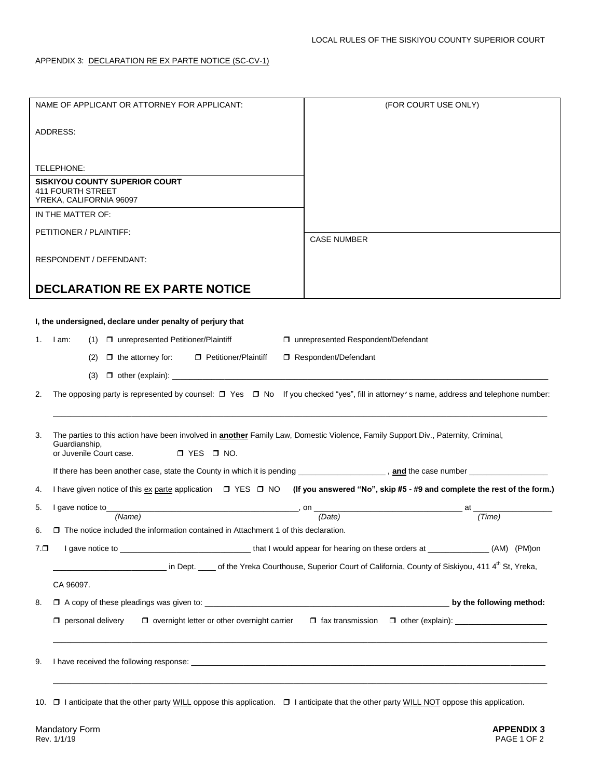| NAME OF APPLICANT OR ATTORNEY FOR APPLICANT:                                                                                                                    | (FOR COURT USE ONLY)                                                                                                                                                                                                                 |  |  |  |
|-----------------------------------------------------------------------------------------------------------------------------------------------------------------|--------------------------------------------------------------------------------------------------------------------------------------------------------------------------------------------------------------------------------------|--|--|--|
|                                                                                                                                                                 |                                                                                                                                                                                                                                      |  |  |  |
| ADDRESS:                                                                                                                                                        |                                                                                                                                                                                                                                      |  |  |  |
|                                                                                                                                                                 |                                                                                                                                                                                                                                      |  |  |  |
|                                                                                                                                                                 |                                                                                                                                                                                                                                      |  |  |  |
| TELEPHONE:<br><b>SISKIYOU COUNTY SUPERIOR COURT</b>                                                                                                             |                                                                                                                                                                                                                                      |  |  |  |
| <b>411 FOURTH STREET</b>                                                                                                                                        |                                                                                                                                                                                                                                      |  |  |  |
| YREKA, CALIFORNIA 96097                                                                                                                                         |                                                                                                                                                                                                                                      |  |  |  |
| IN THE MATTER OF:                                                                                                                                               |                                                                                                                                                                                                                                      |  |  |  |
| PETITIONER / PLAINTIFF:                                                                                                                                         | <b>CASE NUMBER</b>                                                                                                                                                                                                                   |  |  |  |
| RESPONDENT / DEFENDANT:                                                                                                                                         |                                                                                                                                                                                                                                      |  |  |  |
|                                                                                                                                                                 |                                                                                                                                                                                                                                      |  |  |  |
| <b>DECLARATION RE EX PARTE NOTICE</b>                                                                                                                           |                                                                                                                                                                                                                                      |  |  |  |
|                                                                                                                                                                 |                                                                                                                                                                                                                                      |  |  |  |
| I, the undersigned, declare under penalty of perjury that                                                                                                       |                                                                                                                                                                                                                                      |  |  |  |
|                                                                                                                                                                 |                                                                                                                                                                                                                                      |  |  |  |
| (1) □ unrepresented Petitioner/Plaintiff<br>1. Iam:                                                                                                             | □ unrepresented Respondent/Defendant                                                                                                                                                                                                 |  |  |  |
| $\Box$ the attorney for:<br>Petitioner/Plaintiff<br>(2)                                                                                                         | Respondent/Defendant                                                                                                                                                                                                                 |  |  |  |
| (3)                                                                                                                                                             |                                                                                                                                                                                                                                      |  |  |  |
| The opposing party is represented by counsel: $\Box$ Yes $\Box$ No If you checked "yes", fill in attorney's name, address and telephone number:<br>2.           |                                                                                                                                                                                                                                      |  |  |  |
|                                                                                                                                                                 |                                                                                                                                                                                                                                      |  |  |  |
|                                                                                                                                                                 |                                                                                                                                                                                                                                      |  |  |  |
| The parties to this action have been involved in <b>another</b> Family Law, Domestic Violence, Family Support Div., Paternity, Criminal,<br>3.<br>Guardianship, |                                                                                                                                                                                                                                      |  |  |  |
| or Juvenile Court case.<br>$\Box$ YES $\Box$ NO.                                                                                                                |                                                                                                                                                                                                                                      |  |  |  |
|                                                                                                                                                                 |                                                                                                                                                                                                                                      |  |  |  |
| I have given notice of this ex parte application $\Box$ YES $\Box$ NO (If you answered "No", skip #5 - #9 and complete the rest of the form.)<br>4.             |                                                                                                                                                                                                                                      |  |  |  |
| 5.<br>I gave notice to                                                                                                                                          | <u>and the contract of the contract of the contract of the contract of the contract of the contract of the contract of the contract of the contract of the contract of the contract of the contract of the contract of the contr</u> |  |  |  |
| (Name)                                                                                                                                                          | (Date)<br>(Time)                                                                                                                                                                                                                     |  |  |  |
|                                                                                                                                                                 | $\Box$ The notice included the information contained in Attachment 1 of this declaration.                                                                                                                                            |  |  |  |
| $7. \Box$                                                                                                                                                       |                                                                                                                                                                                                                                      |  |  |  |
| in Dept. _____ of the Yreka Courthouse, Superior Court of California, County of Siskiyou, 411 4 <sup>th</sup> St, Yreka,                                        |                                                                                                                                                                                                                                      |  |  |  |
| CA 96097.                                                                                                                                                       |                                                                                                                                                                                                                                      |  |  |  |
|                                                                                                                                                                 |                                                                                                                                                                                                                                      |  |  |  |
| 8.                                                                                                                                                              |                                                                                                                                                                                                                                      |  |  |  |
| $\Box$ personal delivery<br>$\Box$ overnight letter or other overnight carrier                                                                                  |                                                                                                                                                                                                                                      |  |  |  |
|                                                                                                                                                                 |                                                                                                                                                                                                                                      |  |  |  |
|                                                                                                                                                                 |                                                                                                                                                                                                                                      |  |  |  |
| 9.                                                                                                                                                              |                                                                                                                                                                                                                                      |  |  |  |
|                                                                                                                                                                 |                                                                                                                                                                                                                                      |  |  |  |

10. **I** lanticipate that the other party WILL oppose this application. **I** lanticipate that the other party WILL NOT oppose this application.